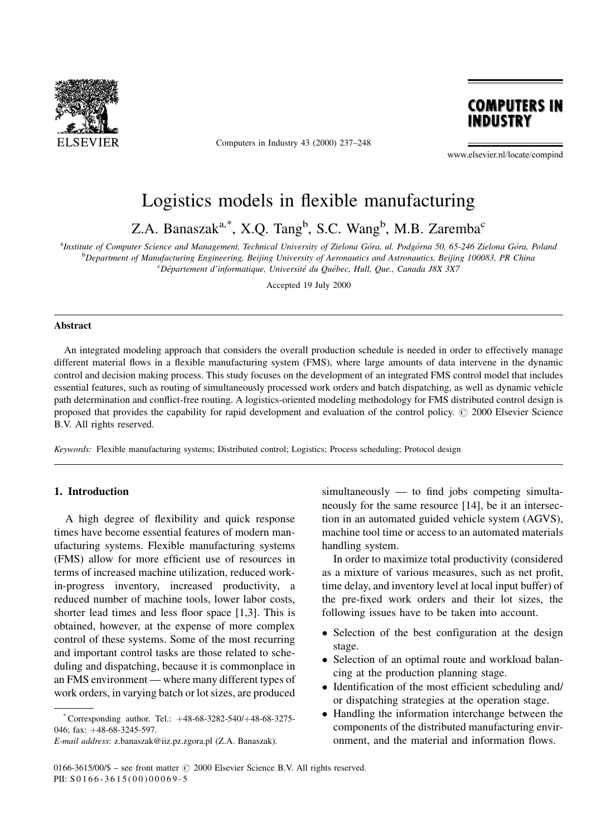

Computers in Industry 43 (2000) 237-248



www.elsevier.nl/locate/compind

# Logistics models in flexible manufacturing

Z.A. Banaszak $a^*$ , X.Q. Tang $^b$ , S.C. Wang $^b$ , M.B. Zaremba<sup>c</sup>

a<br>
a Institute of Computer Science and Management, Technical University of Zielona Góra, ul. Podgórna 50, 65-246 Zielona Góra, Poland b Department of Manufacturing Engineering, Beijing University of Aeronautics and Astronautics, Beijing 100083, PR China <sup>c</sup>Département d'informatique, Université du Québec, Hull, Que., Canada J8X 3X7

Accepted 19 July 2000

#### Abstract

An integrated modeling approach that considers the overall production schedule is needed in order to effectively manage different material flows in a flexible manufacturing system (FMS), where large amounts of data intervene in the dynamic control and decision making process. This study focuses on the development of an integrated FMS control model that includes essential features, such as routing of simultaneously processed work orders and batch dispatching, as well as dynamic vehicle path determination and conflict-free routing. A logistics-oriented modeling methodology for FMS distributed control design is proposed that provides the capability for rapid development and evaluation of the control policy. © 2000 Elsevier Science B.V. All rights reserved.

Keywords: Flexible manufacturing systems; Distributed control; Logistics; Process scheduling; Protocol design

## 1. Introduction

A high degree of flexibility and quick response times have become essential features of modern manufacturing systems. Flexible manufacturing systems (FMS) allow for more efficient use of resources in terms of increased machine utilization, reduced workin-progress inventory, increased productivity, a reduced number of machine tools, lower labor costs, shorter lead times and less floor space  $[1,3]$ . This is obtained, however, at the expense of more complex control of these systems. Some of the most recurring and important control tasks are those related to scheduling and dispatching, because it is commonplace in an FMS environment — where many different types of work orders, in varying batch or lot sizes, are produced

 $simultaneously$   $-$  to find jobs competing simultaneously for the same resource [14], be it an intersection in an automated guided vehicle system (AGVS), machine tool time or access to an automated materials handling system.

In order to maximize total productivity (considered as a mixture of various measures, such as net profit, time delay, and inventory level at local input buffer) of the pre-fixed work orders and their lot sizes, the following issues have to be taken into account.

- Selection of the best configuration at the design stage.
- Selection of an optimal route and workload balancing at the production planning stage.
- Identification of the most efficient scheduling and/ or dispatching strategies at the operation stage.
- Handling the information interchange between the components of the distributed manufacturing environment, and the material and information flows.

 $^*$ Corresponding author. Tel.:  $+48-68-3282-540/+48-68-3275-$ 046; fax: +48-68-3245-597.

E-mail address: z.banaszak@iiz.pz.zgora.pl (Z.A. Banaszak).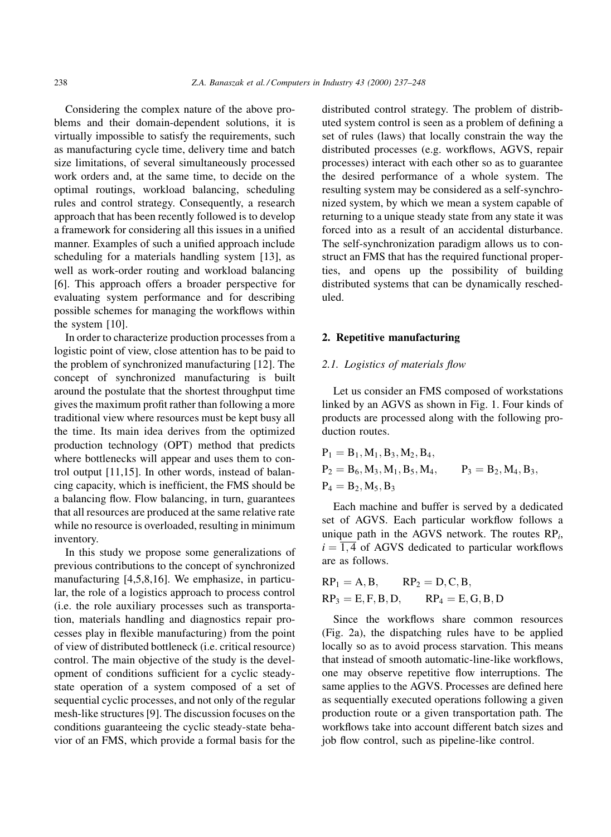Considering the complex nature of the above problems and their domain-dependent solutions, it is virtually impossible to satisfy the requirements, such as manufacturing cycle time, delivery time and batch size limitations, of several simultaneously processed work orders and, at the same time, to decide on the optimal routings, workload balancing, scheduling rules and control strategy. Consequently, a research approach that has been recently followed is to develop a framework for considering all this issues in a unified manner. Examples of such a unified approach include scheduling for a materials handling system [13], as well as work-order routing and workload balancing [6]. This approach offers a broader perspective for evaluating system performance and for describing possible schemes for managing the workflows within the system [10].

In order to characterize production processes from a logistic point of view, close attention has to be paid to the problem of synchronized manufacturing [12]. The concept of synchronized manufacturing is built around the postulate that the shortest throughput time gives the maximum profit rather than following a more traditional view where resources must be kept busy all the time. Its main idea derives from the optimized production technology (OPT) method that predicts where bottlenecks will appear and uses them to control output [11,15]. In other words, instead of balancing capacity, which is inefficient, the FMS should be a balancing flow. Flow balancing, in turn, guarantees that all resources are produced at the same relative rate while no resource is overloaded, resulting in minimum inventory.

In this study we propose some generalizations of previous contributions to the concept of synchronized manufacturing [4,5,8,16]. We emphasize, in particular, the role of a logistics approach to process control (i.e. the role auxiliary processes such as transportation, materials handling and diagnostics repair processes play in flexible manufacturing) from the point of view of distributed bottleneck (i.e. critical resource) control. The main objective of the study is the development of conditions sufficient for a cyclic steadystate operation of a system composed of a set of sequential cyclic processes, and not only of the regular mesh-like structures [9]. The discussion focuses on the conditions guaranteeing the cyclic steady-state behavior of an FMS, which provide a formal basis for the

distributed control strategy. The problem of distributed system control is seen as a problem of defining a set of rules (laws) that locally constrain the way the distributed processes (e.g. workflows, AGVS, repair processes) interact with each other so as to guarantee the desired performance of a whole system. The resulting system may be considered as a self-synchronized system, by which we mean a system capable of returning to a unique steady state from any state it was forced into as a result of an accidental disturbance. The self-synchronization paradigm allows us to construct an FMS that has the required functional properties, and opens up the possibility of building distributed systems that can be dynamically rescheduled.

### 2. Repetitive manufacturing

#### 2.1. Logistics of materials flow

Let us consider an FMS composed of workstations linked by an AGVS as shown in Fig. 1. Four kinds of products are processed along with the following production routes.

$$
P_1 = B_1, M_1, B_3, M_2, B_4,
$$
  
\n $P_2 = B_6, M_3, M_1, B_5, M_4,$   $P_3 = B_2, M_4, B_3,$   
\n $P_4 = B_2, M_5, B_3$ 

Each machine and buffer is served by a dedicated set of AGVS. Each particular workflow follows a unique path in the AGVS network. The routes  $RP_i$ ,  $i = \overline{1, 4}$  of AGVS dedicated to particular workflows are as follows.

$$
RP_1 = A, B,
$$
  $RP_2 = D, C, B,$   
 $RP_3 = E, F, B, D,$   $RP_4 = E, G, B, D$ 

Since the workflows share common resources (Fig. 2a), the dispatching rules have to be applied locally so as to avoid process starvation. This means that instead of smooth automatic-line-like workflows, one may observe repetitive flow interruptions. The same applies to the AGVS. Processes are defined here as sequentially executed operations following a given production route or a given transportation path. The workflows take into account different batch sizes and job flow control, such as pipeline-like control.